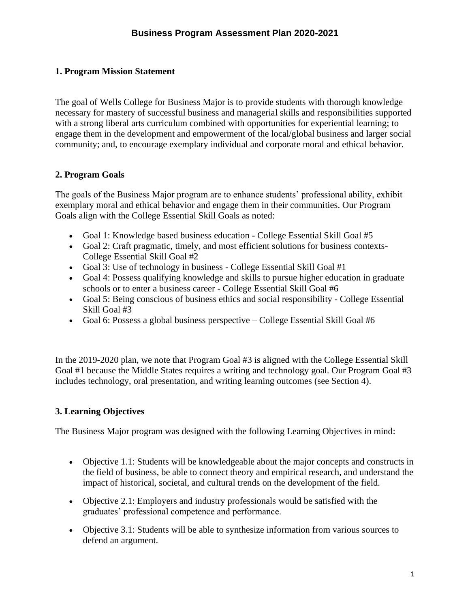### **1. Program Mission Statement**

The goal of Wells College for Business Major is to provide students with thorough knowledge necessary for mastery of successful business and managerial skills and responsibilities supported with a strong liberal arts curriculum combined with opportunities for experiential learning; to engage them in the development and empowerment of the local/global business and larger social community; and, to encourage exemplary individual and corporate moral and ethical behavior.

#### **2. Program Goals**

The goals of the Business Major program are to enhance students' professional ability, exhibit exemplary moral and ethical behavior and engage them in their communities. Our Program Goals align with the College Essential Skill Goals as noted:

- Goal 1: Knowledge based business education College Essential Skill Goal #5
- Goal 2: Craft pragmatic, timely, and most efficient solutions for business contexts-College Essential Skill Goal #2
- Goal 3: Use of technology in business College Essential Skill Goal #1
- Goal 4: Possess qualifying knowledge and skills to pursue higher education in graduate schools or to enter a business career - College Essential Skill Goal #6
- Goal 5: Being conscious of business ethics and social responsibility College Essential Skill Goal #3
- Goal 6: Possess a global business perspective College Essential Skill Goal #6

In the 2019-2020 plan, we note that Program Goal #3 is aligned with the College Essential Skill Goal #1 because the Middle States requires a writing and technology goal. Our Program Goal #3 includes technology, oral presentation, and writing learning outcomes (see Section 4).

## **3. Learning Objectives**

The Business Major program was designed with the following Learning Objectives in mind:

- Objective 1.1: Students will be knowledgeable about the major concepts and constructs in the field of business, be able to connect theory and empirical research, and understand the impact of historical, societal, and cultural trends on the development of the field.
- Objective 2.1: Employers and industry professionals would be satisfied with the graduates' professional competence and performance.
- Objective 3.1: Students will be able to synthesize information from various sources to defend an argument.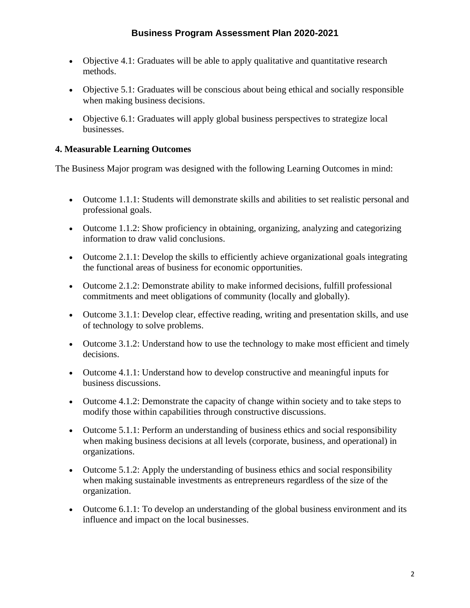- Objective 4.1: Graduates will be able to apply qualitative and quantitative research methods.
- Objective 5.1: Graduates will be conscious about being ethical and socially responsible when making business decisions.
- Objective 6.1: Graduates will apply global business perspectives to strategize local businesses.

### **4. Measurable Learning Outcomes**

The Business Major program was designed with the following Learning Outcomes in mind:

- Outcome 1.1.1: Students will demonstrate skills and abilities to set realistic personal and professional goals.
- Outcome 1.1.2: Show proficiency in obtaining, organizing, analyzing and categorizing information to draw valid conclusions.
- Outcome 2.1.1: Develop the skills to efficiently achieve organizational goals integrating the functional areas of business for economic opportunities.
- Outcome 2.1.2: Demonstrate ability to make informed decisions, fulfill professional commitments and meet obligations of community (locally and globally).
- Outcome 3.1.1: Develop clear, effective reading, writing and presentation skills, and use of technology to solve problems.
- Outcome 3.1.2: Understand how to use the technology to make most efficient and timely decisions.
- Outcome 4.1.1: Understand how to develop constructive and meaningful inputs for business discussions.
- Outcome 4.1.2: Demonstrate the capacity of change within society and to take steps to modify those within capabilities through constructive discussions.
- Outcome 5.1.1: Perform an understanding of business ethics and social responsibility when making business decisions at all levels (corporate, business, and operational) in organizations.
- Outcome 5.1.2: Apply the understanding of business ethics and social responsibility when making sustainable investments as entrepreneurs regardless of the size of the organization.
- Outcome 6.1.1: To develop an understanding of the global business environment and its influence and impact on the local businesses.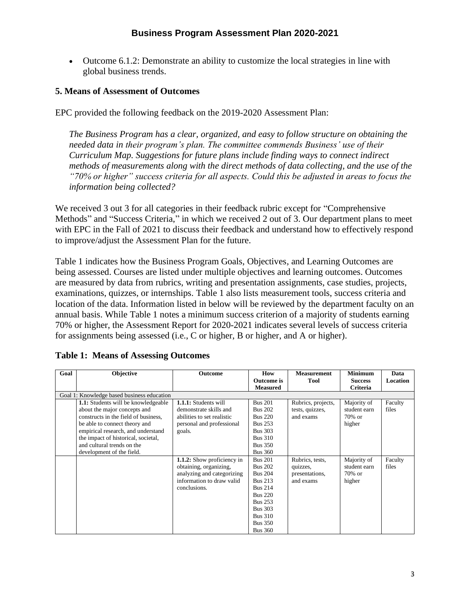• Outcome 6.1.2: Demonstrate an ability to customize the local strategies in line with global business trends.

#### **5. Means of Assessment of Outcomes**

EPC provided the following feedback on the 2019-2020 Assessment Plan:

*The Business Program has a clear, organized, and easy to follow structure on obtaining the needed data in their program's plan. The committee commends Business' use of their Curriculum Map. Suggestions for future plans include finding ways to connect indirect methods of measurements along with the direct methods of data collecting, and the use of the "70% or higher" success criteria for all aspects. Could this be adjusted in areas to focus the information being collected?* 

We received 3 out 3 for all categories in their feedback rubric except for "Comprehensive Methods" and "Success Criteria," in which we received 2 out of 3. Our department plans to meet with EPC in the Fall of 2021 to discuss their feedback and understand how to effectively respond to improve/adjust the Assessment Plan for the future.

Table 1 indicates how the Business Program Goals, Objectives, and Learning Outcomes are being assessed. Courses are listed under multiple objectives and learning outcomes. Outcomes are measured by data from rubrics, writing and presentation assignments, case studies, projects, examinations, quizzes, or internships. Table 1 also lists measurement tools, success criteria and location of the data. Information listed in below will be reviewed by the department faculty on an annual basis. While Table 1 notes a minimum success criterion of a majority of students earning 70% or higher, the Assessment Report for 2020-2021 indicates several levels of success criteria for assignments being assessed (i.e., C or higher, B or higher, and A or higher).

| Goal | <b>Objective</b>                           | <b>Outcome</b>              | How               | <b>Measurement</b> | <b>Minimum</b> | Data     |
|------|--------------------------------------------|-----------------------------|-------------------|--------------------|----------------|----------|
|      |                                            |                             | <b>Outcome</b> is | <b>Tool</b>        | <b>Success</b> | Location |
|      |                                            |                             | <b>Measured</b>   |                    | Criteria       |          |
|      | Goal 1: Knowledge based business education |                             |                   |                    |                |          |
|      | <b>1.1:</b> Students will be knowledgeable | <b>1.1.1:</b> Students will | <b>Bus 201</b>    | Rubrics, projects, | Majority of    | Faculty  |
|      | about the major concepts and               | demonstrate skills and      | <b>Bus 202</b>    | tests, quizzes,    | student earn   | files    |
|      | constructs in the field of business.       | abilities to set realistic  | <b>Bus 220</b>    | and exams          | 70% or         |          |
|      | be able to connect theory and              | personal and professional   | <b>Bus 253</b>    |                    | higher         |          |
|      | empirical research, and understand         | goals.                      | <b>Bus 303</b>    |                    |                |          |
|      | the impact of historical, societal,        |                             | <b>Bus 310</b>    |                    |                |          |
|      | and cultural trends on the                 |                             | <b>Bus 350</b>    |                    |                |          |
|      | development of the field.                  |                             | <b>Bus 360</b>    |                    |                |          |
|      |                                            | 1.1.2: Show proficiency in  | <b>Bus 201</b>    | Rubrics, tests,    | Majority of    | Faculty  |
|      |                                            | obtaining, organizing,      | <b>Bus 202</b>    | quizzes,           | student earn   | files    |
|      |                                            | analyzing and categorizing  | <b>Bus 204</b>    | presentations,     | 70% or         |          |
|      |                                            | information to draw valid   | <b>Bus 213</b>    | and exams          | higher         |          |
|      |                                            | conclusions.                | <b>Bus 214</b>    |                    |                |          |
|      |                                            |                             | <b>Bus 220</b>    |                    |                |          |
|      |                                            |                             | <b>Bus 253</b>    |                    |                |          |
|      |                                            |                             | <b>Bus 303</b>    |                    |                |          |
|      |                                            |                             | <b>Bus 310</b>    |                    |                |          |
|      |                                            |                             | <b>Bus 350</b>    |                    |                |          |
|      |                                            |                             | <b>Bus 360</b>    |                    |                |          |

#### **Table 1: Means of Assessing Outcomes**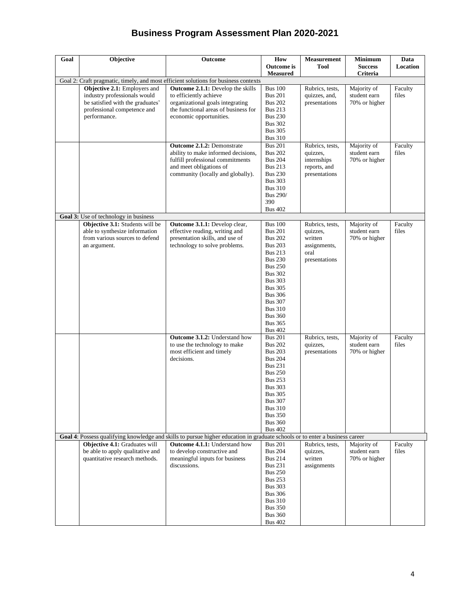| Goal | Objective                                                                                                           | Outcome                                                                                                                                                                                                                                          | How<br><b>Outcome</b> is                                                                                                                                                                                                                                                                                                                                                                                                                                                                                             | <b>Measurement</b><br><b>Tool</b>                                                                                               | <b>Minimum</b><br><b>Success</b>                                                             | Data<br>Location                     |
|------|---------------------------------------------------------------------------------------------------------------------|--------------------------------------------------------------------------------------------------------------------------------------------------------------------------------------------------------------------------------------------------|----------------------------------------------------------------------------------------------------------------------------------------------------------------------------------------------------------------------------------------------------------------------------------------------------------------------------------------------------------------------------------------------------------------------------------------------------------------------------------------------------------------------|---------------------------------------------------------------------------------------------------------------------------------|----------------------------------------------------------------------------------------------|--------------------------------------|
|      |                                                                                                                     |                                                                                                                                                                                                                                                  | <b>Measured</b>                                                                                                                                                                                                                                                                                                                                                                                                                                                                                                      |                                                                                                                                 | Criteria                                                                                     |                                      |
|      | Objective 2.1: Employers and                                                                                        | Goal 2: Craft pragmatic, timely, and most efficient solutions for business contexts<br>Outcome 2.1.1: Develop the skills                                                                                                                         | <b>Bus 100</b>                                                                                                                                                                                                                                                                                                                                                                                                                                                                                                       | Rubrics, tests,                                                                                                                 | Majority of                                                                                  | Faculty                              |
|      | industry professionals would<br>be satisfied with the graduates'<br>professional competence and                     | to efficiently achieve<br>organizational goals integrating<br>the functional areas of business for                                                                                                                                               | <b>Bus 201</b><br><b>Bus 202</b><br><b>Bus 213</b>                                                                                                                                                                                                                                                                                                                                                                                                                                                                   | quizzes, and,<br>presentations                                                                                                  | student earn<br>70% or higher                                                                | files                                |
|      | performance.                                                                                                        | economic opportunities.                                                                                                                                                                                                                          | <b>Bus 230</b><br><b>Bus 302</b><br><b>Bus 305</b><br><b>Bus 310</b>                                                                                                                                                                                                                                                                                                                                                                                                                                                 |                                                                                                                                 |                                                                                              |                                      |
|      |                                                                                                                     | <b>Outcome 2.1.2: Demonstrate</b><br>ability to make informed decisions,<br>fulfill professional commitments<br>and meet obligations of<br>community (locally and globally).                                                                     | <b>Bus 201</b><br><b>Bus 202</b><br><b>Bus 204</b><br><b>Bus 213</b><br><b>Bus 230</b><br><b>Bus 303</b><br><b>Bus 310</b><br><b>Bus 290/</b><br>390<br><b>Bus 402</b>                                                                                                                                                                                                                                                                                                                                               | Rubrics, tests,<br>quizzes,<br>internships<br>reports, and<br>presentations                                                     | Majority of<br>student earn<br>70% or higher                                                 | Faculty<br>files                     |
|      | Goal 3: Use of technology in business                                                                               |                                                                                                                                                                                                                                                  |                                                                                                                                                                                                                                                                                                                                                                                                                                                                                                                      |                                                                                                                                 |                                                                                              |                                      |
|      | Objective 3.1: Students will be<br>able to synthesize information<br>from various sources to defend<br>an argument. | Outcome 3.1.1: Develop clear,<br>effective reading, writing and<br>presentation skills, and use of<br>technology to solve problems.<br>Outcome 3.1.2: Understand how<br>to use the technology to make<br>most efficient and timely<br>decisions. | <b>Bus 100</b><br><b>Bus 201</b><br><b>Bus 202</b><br><b>Bus 203</b><br><b>Bus 213</b><br><b>Bus 230</b><br><b>Bus 250</b><br><b>Bus 302</b><br><b>Bus 303</b><br><b>Bus 305</b><br><b>Bus 306</b><br><b>Bus 307</b><br><b>Bus 310</b><br><b>Bus 360</b><br><b>Bus 365</b><br><b>Bus 402</b><br><b>Bus 201</b><br><b>Bus 202</b><br><b>Bus 203</b><br><b>Bus 204</b><br><b>Bus 231</b><br><b>Bus 250</b><br><b>Bus 253</b><br><b>Bus 303</b><br><b>Bus 305</b><br><b>Bus 307</b><br><b>Bus 310</b><br><b>Bus 350</b> | Rubrics, tests,<br>quizzes,<br>written<br>assignments,<br>oral<br>presentations<br>Rubrics, tests,<br>quizzes,<br>presentations | Majority of<br>student earn<br>70% or higher<br>Majority of<br>student earn<br>70% or higher | Faculty<br>files<br>Faculty<br>files |
|      |                                                                                                                     |                                                                                                                                                                                                                                                  | <b>Bus 360</b><br><b>Bus 402</b>                                                                                                                                                                                                                                                                                                                                                                                                                                                                                     |                                                                                                                                 |                                                                                              |                                      |
|      |                                                                                                                     | Goal 4: Possess qualifying knowledge and skills to pursue higher education in graduate schools or to enter a business career                                                                                                                     |                                                                                                                                                                                                                                                                                                                                                                                                                                                                                                                      |                                                                                                                                 |                                                                                              |                                      |
|      | Objective 4.1: Graduates will<br>be able to apply qualitative and<br>quantitative research methods.                 | <b>Outcome 4.1.1:</b> Understand how<br>to develop constructive and<br>meaningful inputs for business<br>discussions.                                                                                                                            | <b>Bus 201</b><br><b>Bus 204</b><br><b>Bus 214</b><br><b>Bus 231</b><br><b>Bus 250</b><br><b>Bus 253</b><br><b>Bus 303</b><br><b>Bus 306</b><br><b>Bus 310</b><br><b>Bus 350</b><br><b>Bus 360</b><br><b>Bus 402</b>                                                                                                                                                                                                                                                                                                 | Rubrics, tests,<br>quizzes,<br>written<br>assignments                                                                           | Majority of<br>student earn<br>70% or higher                                                 | Faculty<br>files                     |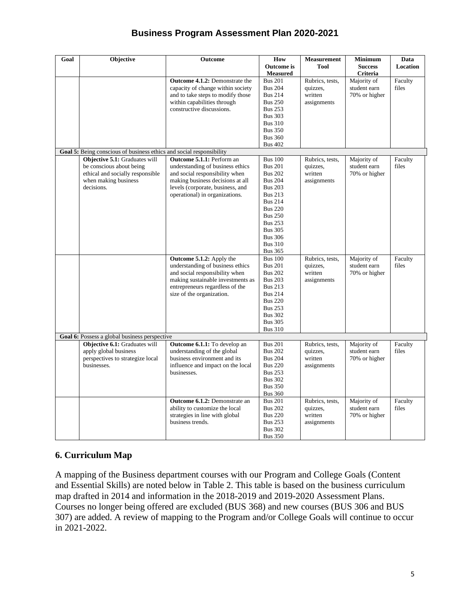| Goal | Objective                                                            | Outcome                               | How               | Measurement     | <b>Minimum</b> | Data            |
|------|----------------------------------------------------------------------|---------------------------------------|-------------------|-----------------|----------------|-----------------|
|      |                                                                      |                                       | <b>Outcome</b> is | <b>Tool</b>     | <b>Success</b> | <b>Location</b> |
|      |                                                                      |                                       | <b>Measured</b>   |                 | Criteria       |                 |
|      |                                                                      | <b>Outcome 4.1.2:</b> Demonstrate the | <b>Bus 201</b>    | Rubrics, tests, | Majority of    | Faculty         |
|      |                                                                      | capacity of change within society     | <b>Bus 204</b>    | quizzes,        | student earn   | files           |
|      |                                                                      | and to take steps to modify those     | <b>Bus 214</b>    | written         | 70% or higher  |                 |
|      |                                                                      | within capabilities through           | <b>Bus 250</b>    | assignments     |                |                 |
|      |                                                                      | constructive discussions.             | <b>Bus 253</b>    |                 |                |                 |
|      |                                                                      |                                       | <b>Bus 303</b>    |                 |                |                 |
|      |                                                                      |                                       | <b>Bus 310</b>    |                 |                |                 |
|      |                                                                      |                                       | <b>Bus 350</b>    |                 |                |                 |
|      |                                                                      |                                       | <b>Bus 360</b>    |                 |                |                 |
|      |                                                                      |                                       | <b>Bus 402</b>    |                 |                |                 |
|      | Goal 5: Being conscious of business ethics and social responsibility |                                       |                   |                 |                |                 |
|      | Objective 5.1: Graduates will                                        | Outcome 5.1.1: Perform an             | <b>Bus 100</b>    | Rubrics, tests, | Majority of    | Faculty         |
|      | be conscious about being                                             | understanding of business ethics      | <b>Bus 201</b>    | quizzes,        | student earn   | files           |
|      | ethical and socially responsible                                     | and social responsibility when        | <b>Bus 202</b>    | written         | 70% or higher  |                 |
|      | when making business                                                 | making business decisions at all      | <b>Bus 204</b>    | assignments     |                |                 |
|      | decisions.                                                           | levels (corporate, business, and      | <b>Bus 203</b>    |                 |                |                 |
|      |                                                                      | operational) in organizations.        | <b>Bus 213</b>    |                 |                |                 |
|      |                                                                      |                                       | <b>Bus 214</b>    |                 |                |                 |
|      |                                                                      |                                       | <b>Bus 220</b>    |                 |                |                 |
|      |                                                                      |                                       | <b>Bus 250</b>    |                 |                |                 |
|      |                                                                      |                                       | <b>Bus 253</b>    |                 |                |                 |
|      |                                                                      |                                       |                   |                 |                |                 |
|      |                                                                      |                                       | <b>Bus 305</b>    |                 |                |                 |
|      |                                                                      |                                       | <b>Bus 306</b>    |                 |                |                 |
|      |                                                                      |                                       | <b>Bus 310</b>    |                 |                |                 |
|      |                                                                      |                                       | <b>Bus 365</b>    |                 |                |                 |
|      |                                                                      | Outcome 5.1.2: Apply the              | <b>Bus 100</b>    | Rubrics, tests, | Majority of    | Faculty         |
|      |                                                                      | understanding of business ethics      | <b>Bus 201</b>    | quizzes,        | student earn   | files           |
|      |                                                                      | and social responsibility when        | <b>Bus 202</b>    | written         | 70% or higher  |                 |
|      |                                                                      | making sustainable investments as     | <b>Bus 203</b>    | assignments     |                |                 |
|      |                                                                      | entrepreneurs regardless of the       | <b>Bus 213</b>    |                 |                |                 |
|      |                                                                      | size of the organization.             | <b>Bus 214</b>    |                 |                |                 |
|      |                                                                      |                                       | <b>Bus 220</b>    |                 |                |                 |
|      |                                                                      |                                       | <b>Bus 253</b>    |                 |                |                 |
|      |                                                                      |                                       | <b>Bus 302</b>    |                 |                |                 |
|      |                                                                      |                                       | <b>Bus 305</b>    |                 |                |                 |
|      |                                                                      |                                       | <b>Bus 310</b>    |                 |                |                 |
|      | Goal 6: Possess a global business perspective                        |                                       |                   |                 |                |                 |
|      | Objective 6.1: Graduates will                                        | Outcome 6.1.1: To develop an          | <b>Bus 201</b>    | Rubrics, tests, | Majority of    | Faculty         |
|      | apply global business                                                | understanding of the global           | <b>Bus 202</b>    | quizzes,        | student earn   | files           |
|      | perspectives to strategize local                                     | business environment and its          | <b>Bus 204</b>    | written         | 70% or higher  |                 |
|      | businesses.                                                          | influence and impact on the local     | <b>Bus 220</b>    | assignments     |                |                 |
|      |                                                                      | businesses.                           | <b>Bus 253</b>    |                 |                |                 |
|      |                                                                      |                                       | <b>Bus 302</b>    |                 |                |                 |
|      |                                                                      |                                       | <b>Bus 350</b>    |                 |                |                 |
|      |                                                                      |                                       | <b>Bus 360</b>    |                 |                |                 |
|      |                                                                      | Outcome 6.1.2: Demonstrate an         | <b>Bus 201</b>    | Rubrics, tests, | Majority of    | Faculty         |
|      |                                                                      | ability to customize the local        | <b>Bus 202</b>    | quizzes,        | student earn   | files           |
|      |                                                                      | strategies in line with global        | <b>Bus 220</b>    | written         | 70% or higher  |                 |
|      |                                                                      | business trends.                      | <b>Bus 253</b>    | assignments     |                |                 |
|      |                                                                      |                                       | <b>Bus 302</b>    |                 |                |                 |
|      |                                                                      |                                       | <b>Bus 350</b>    |                 |                |                 |

## **6. Curriculum Map**

A mapping of the Business department courses with our Program and College Goals (Content and Essential Skills) are noted below in Table 2. This table is based on the business curriculum map drafted in 2014 and information in the 2018-2019 and 2019-2020 Assessment Plans. Courses no longer being offered are excluded (BUS 368) and new courses (BUS 306 and BUS 307) are added. A review of mapping to the Program and/or College Goals will continue to occur in 2021-2022.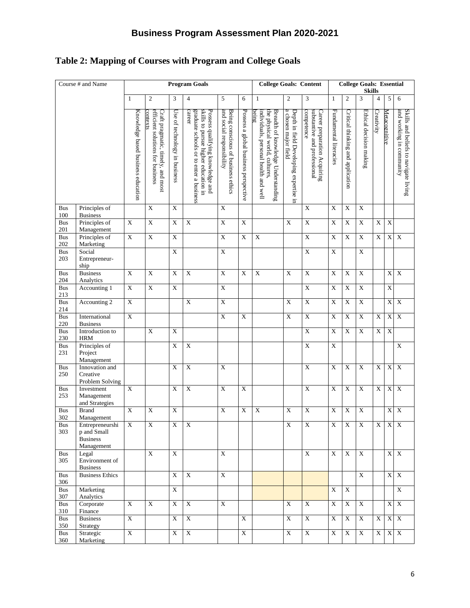# **Table 2: Mapping of Courses with Program and College Goals**

| Course # and Name |                                                                 |                                    |                                                                                   |                               | <b>Program Goals</b>                                                                                                          |                                                                 |                                       | <b>College Goals: Content</b>                                                                                         |                                                                |                                                                            | <b>College Goals: Essential</b><br><b>Skills</b> |                                   |                         |                |                           |                                                                   |
|-------------------|-----------------------------------------------------------------|------------------------------------|-----------------------------------------------------------------------------------|-------------------------------|-------------------------------------------------------------------------------------------------------------------------------|-----------------------------------------------------------------|---------------------------------------|-----------------------------------------------------------------------------------------------------------------------|----------------------------------------------------------------|----------------------------------------------------------------------------|--------------------------------------------------|-----------------------------------|-------------------------|----------------|---------------------------|-------------------------------------------------------------------|
|                   |                                                                 | $\mathbf{1}$                       | 2                                                                                 | 3                             | $\overline{4}$                                                                                                                | 5                                                               | 6                                     | $\mathbf{1}$                                                                                                          | $\overline{2}$                                                 | 3                                                                          | $\mathbf{1}$                                     | $\mathfrak{2}$                    | 3                       | $\overline{4}$ | 5                         | 6                                                                 |
|                   |                                                                 | Knowledge based business education | efficient solutions for business<br>Craft pragmatic, timely, and most<br>contexts | Use of technology in business | career<br>graduate schools or to enter a business<br>skills to pursue higher education in<br>Possess qualifying knowledge and | and social responsibility<br>Being conscious of business ethics | Possess a global business perspective | the physical world, cultures.<br>Breadth of knowledge Understanding<br>being<br>individuals, personal health and well | a chosen major field<br>Depth in field Developing expertise in | competence<br>substantive and professional<br>Career preparation Acquiring | Fundamental literacies                           | Critical thinking and application | Ethical decision making | Creativity     | Metacognitive             | and working in community<br>Skills and beliefs to navigate living |
| <b>Bus</b><br>100 | Principles of<br><b>Business</b>                                |                                    | X                                                                                 | X                             |                                                                                                                               | $\mathbf X$                                                     |                                       |                                                                                                                       |                                                                | X                                                                          | X                                                | X                                 | $\mathbf X$             |                |                           |                                                                   |
| Bus<br>201        | Principles of<br>Management                                     | $\overline{X}$                     | $\overline{X}$                                                                    | $\overline{\mathbf{X}}$       | $\mathbf X$                                                                                                                   | $\overline{X}$                                                  | X                                     |                                                                                                                       | $\mathbf X$                                                    | $\overline{\text{X}}$                                                      | $\overline{X}$                                   | $\mathbf X$                       | $\mathbf X$             | $\mathbf X$    | $\mathbf X$               |                                                                   |
| <b>Bus</b><br>202 | Principles of<br>Marketing                                      | $\mathbf X$                        | $\mathbf X$                                                                       | $\mathbf X$                   |                                                                                                                               | $\mathbf X$                                                     | $\mathbf X$                           | $\mathbf X$                                                                                                           |                                                                | $\overline{\mathbf{X}}$                                                    | $\mathbf X$                                      | $\mathbf X$                       | $\overline{\textbf{X}}$ | $\mathbf X$    | $\mathbf X$               | $\overline{\mathbf{X}}$                                           |
| <b>Bus</b><br>203 | Social<br>Entrepreneur-<br>ship                                 |                                    |                                                                                   | $\mathbf X$                   |                                                                                                                               | $\mathbf X$                                                     |                                       |                                                                                                                       |                                                                | $\mathbf X$                                                                | $\mathbf X$                                      |                                   | $\mathbf X$             |                |                           |                                                                   |
| <b>Bus</b><br>204 | <b>Business</b><br>Analytics                                    | $\mathbf X$                        | $\mathbf X$                                                                       | $\boldsymbol{\mathrm{X}}$     | $\overline{X}$                                                                                                                | $\overline{X}$                                                  | X                                     | $\mathbf X$                                                                                                           | $\mathbf X$                                                    | $\overline{X}$                                                             | $\overline{X}$                                   | $\mathbf X$                       | $\mathbf X$             |                | $\mathbf X$               | $\mathbf X$                                                       |
| <b>Bus</b><br>213 | Accounting 1                                                    | $\overline{X}$                     | $\overline{\textbf{X}}$                                                           | $\mathbf X$                   |                                                                                                                               | $\mathbf X$                                                     |                                       |                                                                                                                       |                                                                | $\overline{\textbf{X}}$                                                    | $\mathbf X$                                      | $\mathbf X$                       | $\mathbf X$             |                | $\boldsymbol{\mathrm{X}}$ |                                                                   |
| <b>Bus</b><br>214 | Accounting 2                                                    | $\mathbf X$                        |                                                                                   |                               | $\mathbf X$                                                                                                                   | $\mathbf X$                                                     |                                       |                                                                                                                       | $\mathbf X$                                                    | $\overline{\textbf{X}}$                                                    | $\mathbf X$                                      | $\mathbf X$                       | $\overline{\textbf{X}}$ |                | $\mathbf X$               | $\overline{\mathbf{X}}$                                           |
| Bus<br>220        | International<br><b>Business</b>                                | $\overline{\textbf{X}}$            |                                                                                   |                               |                                                                                                                               | $\overline{X}$                                                  | $\mathbf X$                           |                                                                                                                       | $\mathbf X$                                                    | $\overline{X}$                                                             | $\mathbf X$                                      | $\mathbf X$                       | $\overline{\textbf{X}}$ | X              | $\mathbf X$               | $\bold{X}$                                                        |
| <b>Bus</b><br>230 | Introduction to<br><b>HRM</b>                                   |                                    | $\overline{\mathbf{X}}$                                                           | $\mathbf X$                   |                                                                                                                               |                                                                 |                                       |                                                                                                                       |                                                                | $\overline{X}$                                                             | $\mathbf X$                                      | $\mathbf X$                       | $\mathbf X$             | $\mathbf X$    | $\mathbf X$               |                                                                   |
| <b>Bus</b><br>231 | Principles of<br>Project<br>Management                          |                                    |                                                                                   | $\boldsymbol{\mathrm{X}}$     | $\overline{\textbf{X}}$                                                                                                       |                                                                 |                                       |                                                                                                                       |                                                                | $\overline{\mathbf{X}}$                                                    | $\mathbf X$                                      |                                   |                         |                |                           | $\mathbf X$                                                       |
| <b>Bus</b><br>250 | Innovation and<br>Creative<br>Problem Solving                   |                                    |                                                                                   | X                             | $\overline{X}$                                                                                                                | $\overline{X}$                                                  |                                       |                                                                                                                       |                                                                | $\overline{X}$                                                             | $\overline{X}$                                   | $\mathbf X$                       | $\overline{\mathbf{X}}$ | $\mathbf X$    | $\mathbf X$               | $\overline{X}$                                                    |
| <b>Bus</b><br>253 | Investment<br>Management<br>and Strategies                      | $\overline{X}$                     |                                                                                   | $\boldsymbol{\mathrm{X}}$     | $\overline{\textbf{X}}$                                                                                                       | $\overline{X}$                                                  | $\mathbf X$                           |                                                                                                                       |                                                                | $\overline{X}$                                                             | $\mathbf X$                                      | $\mathbf X$                       | $\overline{\textbf{X}}$ | $\overline{X}$ | $\mathbf X$               | $\boldsymbol{\mathrm{X}}$                                         |
| <b>Bus</b><br>302 | <b>Brand</b><br>Management                                      | $\mathbf X$                        | $\mathbf X$                                                                       | $\mathbf X$                   |                                                                                                                               | $\mathbf X$                                                     | $\boldsymbol{\mathrm{X}}$             | $\mathbf X$                                                                                                           | $\mathbf X$                                                    | $\mathbf X$                                                                | $\mathbf X$                                      | $\mathbf X$                       | $\mathbf X$             |                | X                         | $\mathbf X$                                                       |
| Bus<br>303        | Entrepreneurshi<br>p and Small<br><b>Business</b><br>Management | X                                  | $\mathbf X$                                                                       | $\mathbf X$                   | $\mathbf X$                                                                                                                   |                                                                 |                                       |                                                                                                                       | $\mathbf X$                                                    | $\mathbf X$                                                                | $\mathbf X$                                      | $\mathbf X$                       | $\mathbf X$             |                | $X$ $X$ $X$               |                                                                   |
| <b>Bus</b><br>305 | Legal<br>Environment of<br><b>Business</b>                      |                                    | X                                                                                 | $\mathbf X$                   |                                                                                                                               | X                                                               |                                       |                                                                                                                       |                                                                | X                                                                          | X                                                | $\mathbf X$                       | $\mathbf X$             |                |                           | $X$ $X$                                                           |
| <b>Bus</b><br>306 | <b>Business Ethics</b>                                          |                                    |                                                                                   | $\mathbf X$                   | $\boldsymbol{\mathrm{X}}$                                                                                                     | $\mathbf X$                                                     |                                       |                                                                                                                       |                                                                |                                                                            |                                                  |                                   | $\mathbf X$             |                |                           | $X \, X$                                                          |
| Bus<br>307        | Marketing<br>Analytics                                          |                                    |                                                                                   | $\mathbf X$                   |                                                                                                                               |                                                                 |                                       |                                                                                                                       |                                                                |                                                                            | $\mathbf X$                                      | $\mathbf X$                       |                         |                |                           | $\overline{\textbf{X}}$                                           |
| <b>Bus</b><br>310 | Corporate<br>Finance                                            | X                                  | X                                                                                 | $\mathbf X$                   | $\boldsymbol{\mathrm{X}}$                                                                                                     | $\mathbf X$                                                     |                                       |                                                                                                                       | $\mathbf X$                                                    | $\mathbf X$                                                                | $\mathbf X$                                      | $\mathbf X$                       | $\mathbf X$             |                |                           | $X \, X$                                                          |
| <b>Bus</b><br>350 | <b>Business</b><br>Strategy                                     | $\mathbf X$                        |                                                                                   | $\mathbf X$                   | $\boldsymbol{\mathrm{X}}$                                                                                                     |                                                                 | X                                     |                                                                                                                       | $\mathbf X$                                                    | $\bold{X}$                                                                 | $\mathbf X$                                      | $\mathbf X$                       | X                       | X              | $\mathbf X$               | $\mathbf X$                                                       |
| <b>Bus</b><br>360 | Strategic<br>Marketing                                          | $\mathbf X$                        |                                                                                   | $\mathbf X$                   | $\overline{\mathbf{X}}$                                                                                                       |                                                                 | X                                     |                                                                                                                       | $\mathbf X$                                                    | $\mathbf X$                                                                | $\mathbf X$                                      | $\mathbf X$                       | $\mathbf X$             | X              |                           | $X \ X$                                                           |